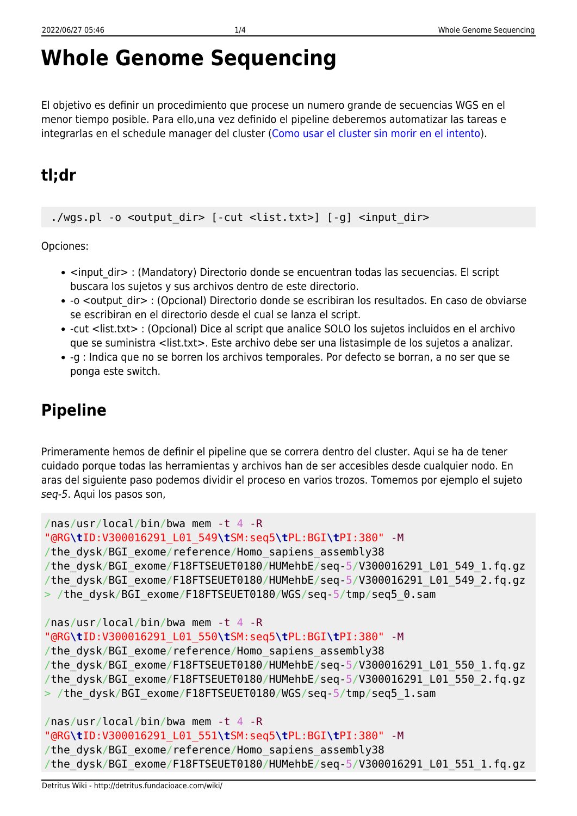# **Whole Genome Sequencing**

El objetivo es definir un procedimiento que procese un numero grande de secuencias WGS en el menor tiempo posible. Para ello,una vez definido el pipeline deberemos automatizar las tareas e integrarlas en el schedule manager del cluster ([Como usar el cluster sin morir en el intento\)](http://detritus.fundacioace.com/wiki/doku.php?id=cluster).

## **tl;dr**

./wgs.pl -o <output dir> [-cut <list.txt>] [-g] <input dir>

Opciones:

- <input dir> : (Mandatory) Directorio donde se encuentran todas las secuencias. El script buscara los sujetos y sus archivos dentro de este directorio.
- -o <output dir> : (Opcional) Directorio donde se escribiran los resultados. En caso de obviarse se escribiran en el directorio desde el cual se lanza el script.
- -cut <list.txt> : (Opcional) Dice al script que analice SOLO los sujetos incluidos en el archivo que se suministra <list.txt>. Este archivo debe ser una listasimple de los sujetos a analizar.
- -g : Indica que no se borren los archivos temporales. Por defecto se borran, a no ser que se ponga este switch.

# **Pipeline**

Primeramente hemos de definir el pipeline que se correra dentro del cluster. Aqui se ha de tener cuidado porque todas las herramientas y archivos han de ser accesibles desde cualquier nodo. En aras del siguiente paso podemos dividir el proceso en varios trozos. Tomemos por ejemplo el sujeto seq-5. Aqui los pasos son,

```
/nas/usr/local/bin/bwa mem -t 4 -R
"@RG\tID:V300016291_L01_549\tSM:seq5\tPL:BGI\tPI:380" -M
/the_dysk/BGI_exome/reference/Homo_sapiens_assembly38
/the_dysk/BGI_exome/F18FTSEUET0180/HUMehbE/seq-5/V300016291_L01_549_1.fq.gz
/the_dysk/BGI_exome/F18FTSEUET0180/HUMehbE/seq-5/V300016291_L01_549_2.fq.gz
> /the dysk/BGI exome/F18FTSEUET0180/WGS/seq-5/tmp/seq5 0.sam
/nas/usr/local/bin/bwa mem -t 4 -R
"@RG\tID:V300016291_L01_550\tSM:seq5\tPL:BGI\tPI:380" -M
/the_dysk/BGI_exome/reference/Homo_sapiens_assembly38
/the_dysk/BGI_exome/F18FTSEUET0180/HUMehbE/seq-5/V300016291_L01_550_1.fq.gz
/the_dysk/BGI_exome/F18FTSEUET0180/HUMehbE/seq-5/V300016291_L01_550_2.fq.gz
> /the_dysk/BGI_exome/F18FTSEUET0180/WGS/seq-5/tmp/seq5_1.sam
/nas/usr/local/bin/bwa mem -t 4 -R
```

```
"@RG\tID:V300016291_L01_551\tSM:seq5\tPL:BGI\tPI:380" -M
/the dysk/BGI exome/reference/Homo sapiens assembly38
/the dysk/BGI exome/F18FTSEUET0180/HUMehbE/seq-5/V300016291 L01 551 1.fq.gz
```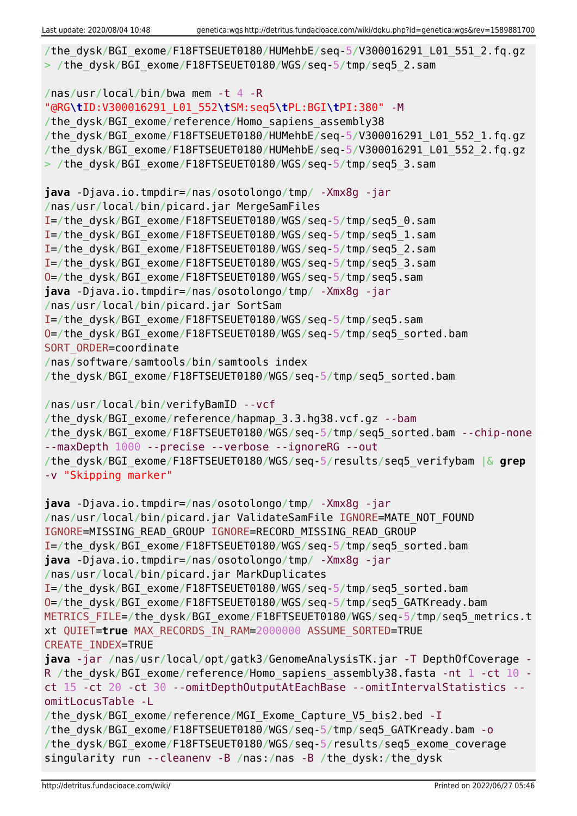```
/the dysk/BGI exome/F18FTSEUET0180/HUMehbE/seq-5/V300016291 L01 551 2.fq.gz
> /the dysk/BGI exome/F18FTSEUET0180/WGS/seq-5/tmp/seq5_2.sam
/nas/usr/local/bin/bwa mem -t 4 -R
"@RG\tID:V300016291_L01_552\tSM:seq5\tPL:BGI\tPI:380" -M
/the dysk/BGI exome/reference/Homo sapiens assembly38
/the_dysk/BGI_exome/F18FTSEUET0180/HUMehbE/seq-5/V300016291_L01_552_1.fq.gz
/the_dysk/BGI_exome/F18FTSEUET0180/HUMehbE/seq-5/V300016291_L01_552_2.fq.gz
> /the dysk/BGI exome/F18FTSEUET0180/WGS/seq-5/tmp/seq5 3.sam
java -Djava.io.tmpdir=/nas/osotolongo/tmp/ -Xmx8g -jar
/nas/usr/local/bin/picard.jar MergeSamFiles
I=/the_dysk/BGI_exome/F18FTSEUET0180/WGS/seq-5/tmp/seq5_0.sam
I=/the_dysk/BGI_exome/F18FTSEUET0180/WGS/seq-5/tmp/seq5_1.sam
I=/the_dysk/BGI_exome/F18FTSEUET0180/WGS/seq-5/tmp/seq5_2.sam
I=/the_dysk/BGI_exome/F18FTSEUET0180/WGS/seq-5/tmp/seq5_3.sam
O=/the_dysk/BGI_exome/F18FTSEUET0180/WGS/seq-5/tmp/seq5.sam
java -Djava.io.tmpdir=/nas/osotolongo/tmp/ -Xmx8g -jar
/nas/usr/local/bin/picard.jar SortSam
I=/the_dysk/BGI_exome/F18FTSEUET0180/WGS/seq-5/tmp/seq5.sam
O=/the_dysk/BGI_exome/F18FTSEUET0180/WGS/seq-5/tmp/seq5_sorted.bam
SORT ORDER=coordinate
/nas/software/samtools/bin/samtools index
/the_dysk/BGI_exome/F18FTSEUET0180/WGS/seq-5/tmp/seq5_sorted.bam
/nas/usr/local/bin/verifyBamID --vcf
/the dysk/BGI exome/reference/hapmap 3.3.hg38.vcf.gz --bam
/the dysk/BGI exome/F18FTSEUET0180/WGS/seq-5/tmp/seq5 sorted.bam --chip-none
--maxDepth 1000 --precise --verbose --ignoreRG --out
/the_dysk/BGI_exome/F18FTSEUET0180/WGS/seq-5/results/seq5_verifybam |& grep
-v "Skipping marker"
java -Djava.io.tmpdir=/nas/osotolongo/tmp/ -Xmx8g -jar
/nas/usr/local/bin/picard.jar ValidateSamFile IGNORE=MATE_NOT_FOUND
IGNORE=MISSING_READ_GROUP IGNORE=RECORD_MISSING_READ_GROUP
I=/the_dysk/BGI_exome/F18FTSEUET0180/WGS/seq-5/tmp/seq5_sorted.bam
java -Djava.io.tmpdir=/nas/osotolongo/tmp/ -Xmx8g -jar
/nas/usr/local/bin/picard.jar MarkDuplicates
I=/the_dysk/BGI_exome/F18FTSEUET0180/WGS/seq-5/tmp/seq5_sorted.bam
O=/the_dysk/BGI_exome/F18FTSEUET0180/WGS/seq-5/tmp/seq5_GATKready.bam
METRICS FILE=/the dysk/BGI exome/F18FTSEUET0180/WGS/seq-5/tmp/seq5 metrics.t
xt QUIET=true MAX_RECORDS_IN_RAM=2000000 ASSUME_SORTED=TRUE
CREATE_INDEX=TRUE
java -jar /nas/usr/local/opt/gatk3/GenomeAnalysisTK.jar -T DepthOfCoverage -
R /the dysk/BGI exome/reference/Homo sapiens assembly38.fasta -nt 1 -ct 10 -
ct 15 -ct 20 -ct 30 --omitDepthOutputAtEachBase --omitIntervalStatistics --
omitLocusTable -L
/the dysk/BGI exome/reference/MGI Exome Capture V5 bis2.bed -I
/the_dysk/BGI_exome/F18FTSEUET0180/WGS/seq-5/tmp/seq5_GATKready.bam -o
/the_dysk/BGI_exome/F18FTSEUET0180/WGS/seq-5/results/seq5_exome_coverage
singularity run --cleanenv -B /nas:/nas -B /the_dysk:/the_dysk
```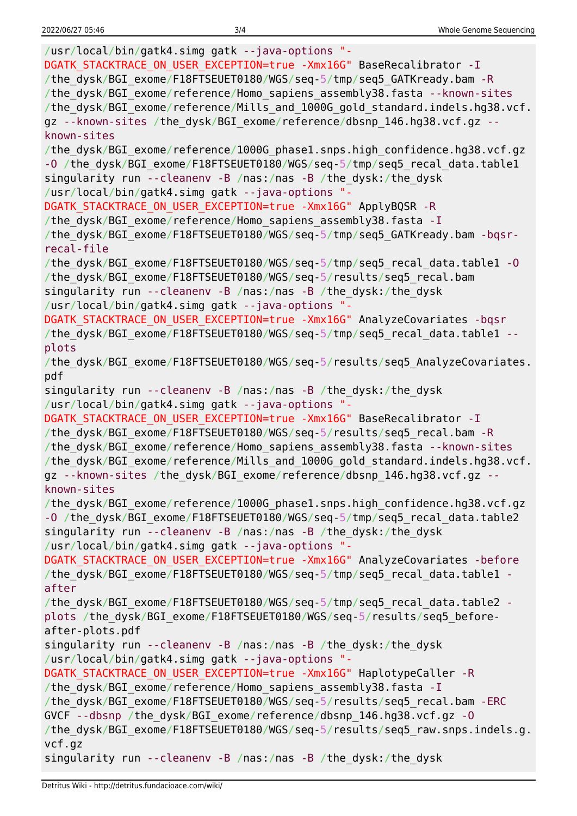/usr/local/bin/gatk4.simg gatk --java-options "- DGATK STACKTRACE ON USER EXCEPTION=true -Xmx16G" BaseRecalibrator -I /the\_dysk/BGI\_exome/F18FTSEUET0180/WGS/seq-5/tmp/seq5\_GATKready.bam -R /the\_dysk/BGI\_exome/reference/Homo\_sapiens\_assembly38.fasta --known-sites /the\_dysk/BGI\_exome/reference/Mills\_and\_1000G\_gold\_standard.indels.hg38.vcf. gz --known-sites /the dysk/BGI exome/reference/dbsnp 146.hg38.vcf.gz -known-sites /the\_dysk/BGI\_exome/reference/1000G\_phase1.snps.high\_confidence.hg38.vcf.gz -O /the dysk/BGI exome/F18FTSEUET0180/WGS/seq-5/tmp/seq5 recal data.table1 singularity run --cleanenv -B /nas:/nas -B /the\_dysk:/the\_dysk /usr/local/bin/gatk4.simg gatk --java-options "- DGATK\_STACKTRACE\_ON\_USER\_EXCEPTION=true -Xmx16G" ApplyBQSR -R /the dysk/BGI exome/reference/Homo sapiens assembly38.fasta -I /the\_dysk/BGI\_exome/F18FTSEUET0180/WGS/seq-5/tmp/seq5\_GATKready.bam -bqsrrecal-file /the\_dysk/BGI\_exome/F18FTSEUET0180/WGS/seq-5/tmp/seq5\_recal\_data.table1 -O /the dysk/BGI exome/F18FTSEUET0180/WGS/seq-5/results/seq5 recal.bam singularity run --cleanenv -B /nas:/nas -B /the\_dysk:/the\_dysk /usr/local/bin/gatk4.simg gatk --java-options "- DGATK STACKTRACE ON USER EXCEPTION=true -Xmx16G" AnalyzeCovariates -bqsr /the dysk/BGI exome/F18FTSEUET0180/WGS/seq-5/tmp/seq5\_recal\_data.table1 -plots /the dysk/BGI exome/F18FTSEUET0180/WGS/seq-5/results/seq5 AnalyzeCovariates. pdf singularity run --cleanenv -B /nas:/nas -B /the\_dysk:/the\_dysk /usr/local/bin/gatk4.simg gatk --java-options "- DGATK STACKTRACE ON USER EXCEPTION=true -Xmx16G" BaseRecalibrator -I /the dysk/BGI exome/F18FTSEUET0180/WGS/seq-5/results/seq5 recal.bam -R /the dysk/BGI exome/reference/Homo sapiens assembly38.fasta --known-sites /the\_dysk/BGI\_exome/reference/Mills\_and\_1000G\_gold\_standard.indels.hg38.vcf. gz --known-sites /the dysk/BGI exome/reference/dbsnp 146.hg38.vcf.gz -known-sites /the\_dysk/BGI\_exome/reference/1000G\_phase1.snps.high\_confidence.hg38.vcf.gz -O /the dysk/BGI exome/F18FTSEUET0180/WGS/seq-5/tmp/seq5 recal data.table2 singularity run --cleanenv -B /nas:/nas -B /the\_dysk:/the\_dysk /usr/local/bin/gatk4.simg gatk --java-options "- DGATK STACKTRACE ON USER EXCEPTION=true -Xmx16G" AnalyzeCovariates -before /the dysk/BGI exome/F18FTSEUET0180/WGS/seq-5/tmp/seq5 recal data.table1 after /the\_dysk/BGI\_exome/F18FTSEUET0180/WGS/seq-5/tmp/seq5\_recal\_data.table2 plots /the\_dysk/BGI\_exome/F18FTSEUET0180/WGS/seq-5/results/seq5\_beforeafter-plots.pdf singularity run --cleanenv -B /nas:/nas -B /the\_dysk:/the\_dysk /usr/local/bin/gatk4.simg gatk --java-options "- DGATK STACKTRACE ON USER EXCEPTION=true -Xmx16G" HaplotypeCaller -R /the dysk/BGI exome/reference/Homo sapiens assembly38.fasta -I /the\_dysk/BGI\_exome/F18FTSEUET0180/WGS/seq-5/results/seq5\_recal.bam -ERC GVCF --dbsnp /the\_dysk/BGI\_exome/reference/dbsnp\_146.hg38.vcf.gz -O /the\_dysk/BGI\_exome/F18FTSEUET0180/WGS/seq-5/results/seq5\_raw.snps.indels.g. vcf.gz singularity run --cleanenv -B /nas:/nas -B /the\_dysk:/the\_dysk